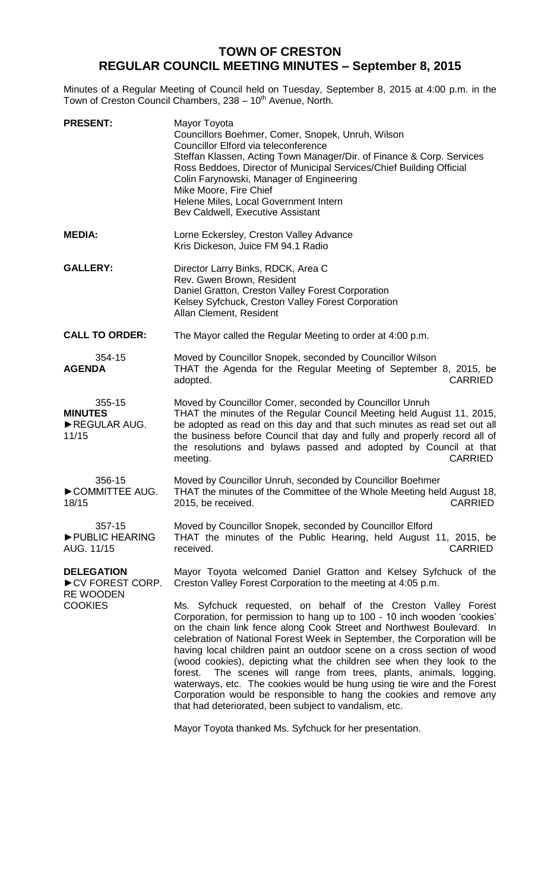## **TOWN OF CRESTON REGULAR COUNCIL MEETING MINUTES – September 8, 2015**

Minutes of a Regular Meeting of Council held on Tuesday, September 8, 2015 at 4:00 p.m. in the Town of Creston Council Chambers, 238 - 10<sup>th</sup> Avenue, North.

| <b>PRESENT:</b>                                          | Mayor Toyota<br>Councillors Boehmer, Comer, Snopek, Unruh, Wilson<br>Councillor Elford via teleconference<br>Steffan Klassen, Acting Town Manager/Dir. of Finance & Corp. Services<br>Ross Beddoes, Director of Municipal Services/Chief Building Official<br>Colin Farynowski, Manager of Engineering<br>Mike Moore, Fire Chief<br>Helene Miles, Local Government Intern<br>Bev Caldwell, Executive Assistant                                                                                                                                                                                                                                                                                                                             |
|----------------------------------------------------------|--------------------------------------------------------------------------------------------------------------------------------------------------------------------------------------------------------------------------------------------------------------------------------------------------------------------------------------------------------------------------------------------------------------------------------------------------------------------------------------------------------------------------------------------------------------------------------------------------------------------------------------------------------------------------------------------------------------------------------------------|
| <b>MEDIA:</b>                                            | Lorne Eckersley, Creston Valley Advance<br>Kris Dickeson, Juice FM 94.1 Radio                                                                                                                                                                                                                                                                                                                                                                                                                                                                                                                                                                                                                                                              |
| <b>GALLERY:</b>                                          | Director Larry Binks, RDCK, Area C<br>Rev. Gwen Brown, Resident<br>Daniel Gratton, Creston Valley Forest Corporation<br>Kelsey Syfchuck, Creston Valley Forest Corporation<br>Allan Clement, Resident                                                                                                                                                                                                                                                                                                                                                                                                                                                                                                                                      |
| <b>CALL TO ORDER:</b>                                    | The Mayor called the Regular Meeting to order at 4:00 p.m.                                                                                                                                                                                                                                                                                                                                                                                                                                                                                                                                                                                                                                                                                 |
| 354-15<br><b>AGENDA</b>                                  | Moved by Councillor Snopek, seconded by Councillor Wilson<br>THAT the Agenda for the Regular Meeting of September 8, 2015, be<br>adopted.<br><b>CARRIED</b>                                                                                                                                                                                                                                                                                                                                                                                                                                                                                                                                                                                |
| 355-15<br><b>MINUTES</b><br>REGULAR AUG.<br>11/15        | Moved by Councillor Comer, seconded by Councillor Unruh<br>THAT the minutes of the Regular Council Meeting held August 11, 2015,<br>be adopted as read on this day and that such minutes as read set out all<br>the business before Council that day and fully and properly record all of<br>the resolutions and bylaws passed and adopted by Council at that<br><b>CARRIED</b><br>meeting.                                                                                                                                                                                                                                                                                                                                                |
| 356-15<br>COMMITTEE AUG.<br>18/15                        | Moved by Councillor Unruh, seconded by Councillor Boehmer<br>THAT the minutes of the Committee of the Whole Meeting held August 18,<br><b>CARRIED</b><br>2015, be received.                                                                                                                                                                                                                                                                                                                                                                                                                                                                                                                                                                |
| 357-15<br>PUBLIC HEARING<br>AUG. 11/15                   | Moved by Councillor Snopek, seconded by Councillor Elford<br>THAT the minutes of the Public Hearing, held August 11, 2015, be<br><b>CARRIED</b><br>received.                                                                                                                                                                                                                                                                                                                                                                                                                                                                                                                                                                               |
| <b>DELEGATION</b><br>CV FOREST CORP.<br><b>RE WOODEN</b> | Mayor Toyota welcomed Daniel Gratton and Kelsey Syfchuck of the<br>Creston Valley Forest Corporation to the meeting at 4:05 p.m.                                                                                                                                                                                                                                                                                                                                                                                                                                                                                                                                                                                                           |
| <b>COOKIES</b>                                           | Ms. Syfchuck requested, on behalf of the Creston Valley Forest<br>Corporation, for permission to hang up to 100 - 10 inch wooden 'cookies'<br>on the chain link fence along Cook Street and Northwest Boulevard. In<br>celebration of National Forest Week in September, the Corporation will be<br>having local children paint an outdoor scene on a cross section of wood<br>(wood cookies), depicting what the children see when they look to the<br>The scenes will range from trees, plants, animals, logging,<br>forest.<br>waterways, etc. The cookies would be hung using tie wire and the Forest<br>Corporation would be responsible to hang the cookies and remove any<br>that had deteriorated, been subject to vandalism, etc. |

Mayor Toyota thanked Ms. Syfchuck for her presentation.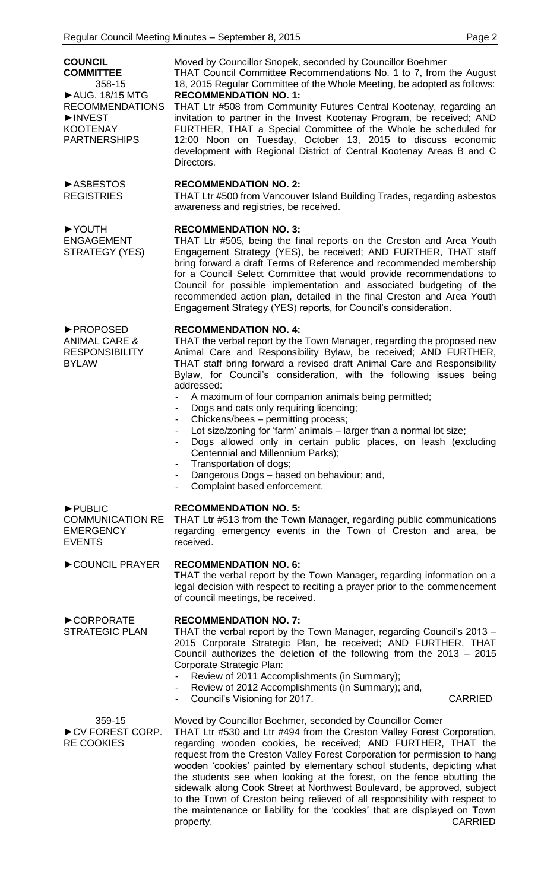| <b>COUNCIL</b><br><b>COMMITTEE</b><br>358-15<br>▶ AUG. 18/15 MTG<br><b>RECOMMENDATIONS</b><br>INVEST<br><b>KOOTENAY</b><br><b>PARTNERSHIPS</b> | Moved by Councillor Snopek, seconded by Councillor Boehmer<br>THAT Council Committee Recommendations No. 1 to 7, from the August<br>18, 2015 Regular Committee of the Whole Meeting, be adopted as follows:<br><b>RECOMMENDATION NO. 1:</b><br>THAT Ltr #508 from Community Futures Central Kootenay, regarding an<br>invitation to partner in the Invest Kootenay Program, be received; AND<br>FURTHER, THAT a Special Committee of the Whole be scheduled for<br>12:00 Noon on Tuesday, October 13, 2015 to discuss economic<br>development with Regional District of Central Kootenay Areas B and C<br>Directors.                                                                                                                                                                                                                                           |
|------------------------------------------------------------------------------------------------------------------------------------------------|----------------------------------------------------------------------------------------------------------------------------------------------------------------------------------------------------------------------------------------------------------------------------------------------------------------------------------------------------------------------------------------------------------------------------------------------------------------------------------------------------------------------------------------------------------------------------------------------------------------------------------------------------------------------------------------------------------------------------------------------------------------------------------------------------------------------------------------------------------------|
| ASBESTOS<br><b>REGISTRIES</b>                                                                                                                  | <b>RECOMMENDATION NO. 2:</b><br>THAT Ltr #500 from Vancouver Island Building Trades, regarding asbestos<br>awareness and registries, be received.                                                                                                                                                                                                                                                                                                                                                                                                                                                                                                                                                                                                                                                                                                              |
| ▶YOUTH<br><b>ENGAGEMENT</b><br>STRATEGY (YES)                                                                                                  | <b>RECOMMENDATION NO. 3:</b><br>THAT Ltr #505, being the final reports on the Creston and Area Youth<br>Engagement Strategy (YES), be received; AND FURTHER, THAT staff<br>bring forward a draft Terms of Reference and recommended membership<br>for a Council Select Committee that would provide recommendations to<br>Council for possible implementation and associated budgeting of the<br>recommended action plan, detailed in the final Creston and Area Youth<br>Engagement Strategy (YES) reports, for Council's consideration.                                                                                                                                                                                                                                                                                                                      |
| ▶ PROPOSED<br><b>ANIMAL CARE &amp;</b><br><b>RESPONSIBILITY</b><br><b>BYLAW</b>                                                                | <b>RECOMMENDATION NO. 4:</b><br>THAT the verbal report by the Town Manager, regarding the proposed new<br>Animal Care and Responsibility Bylaw, be received; AND FURTHER,<br>THAT staff bring forward a revised draft Animal Care and Responsibility<br>Bylaw, for Council's consideration, with the following issues being<br>addressed:<br>A maximum of four companion animals being permitted;<br>Dogs and cats only requiring licencing;<br>$\overline{\phantom{a}}$<br>Chickens/bees - permitting process;<br>$\overline{\phantom{a}}$<br>Lot size/zoning for 'farm' animals - larger than a normal lot size;<br>$\overline{\phantom{a}}$<br>Dogs allowed only in certain public places, on leash (excluding<br>Centennial and Millennium Parks);<br>Transportation of dogs;<br>Dangerous Dogs - based on behaviour; and,<br>Complaint based enforcement. |
| PUBLIC<br><b>COMMUNICATION RE</b><br><b>EMERGENCY</b><br><b>EVENTS</b>                                                                         | <b>RECOMMENDATION NO. 5:</b><br>THAT Ltr #513 from the Town Manager, regarding public communications<br>regarding emergency events in the Town of Creston and area, be<br>received.                                                                                                                                                                                                                                                                                                                                                                                                                                                                                                                                                                                                                                                                            |
| COUNCIL PRAYER                                                                                                                                 | <b>RECOMMENDATION NO. 6:</b><br>THAT the verbal report by the Town Manager, regarding information on a<br>legal decision with respect to reciting a prayer prior to the commencement<br>of council meetings, be received.                                                                                                                                                                                                                                                                                                                                                                                                                                                                                                                                                                                                                                      |
| CORPORATE<br><b>STRATEGIC PLAN</b>                                                                                                             | <b>RECOMMENDATION NO. 7:</b><br>THAT the verbal report by the Town Manager, regarding Council's 2013 -<br>2015 Corporate Strategic Plan, be received; AND FURTHER, THAT<br>Council authorizes the deletion of the following from the 2013 - 2015<br>Corporate Strategic Plan:<br>Review of 2011 Accomplishments (in Summary);<br>Review of 2012 Accomplishments (in Summary); and,<br>$\overline{\phantom{a}}$<br>Council's Visioning for 2017.<br><b>CARRIED</b>                                                                                                                                                                                                                                                                                                                                                                                              |
| 359-15<br>CV FOREST CORP.<br><b>RE COOKIES</b>                                                                                                 | Moved by Councillor Boehmer, seconded by Councillor Comer<br>THAT Ltr #530 and Ltr #494 from the Creston Valley Forest Corporation,<br>regarding wooden cookies, be received; AND FURTHER, THAT the<br>request from the Creston Valley Forest Corporation for permission to hang<br>wooden 'cookies' painted by elementary school students, depicting what<br>the students see when looking at the forest, on the fence abutting the<br>sidewalk along Cook Street at Northwest Boulevard, be approved, subject<br>to the Town of Creston being relieved of all responsibility with respect to                                                                                                                                                                                                                                                                 |

the maintenance or liability for the 'cookies' that are displayed on Town property. CARRIED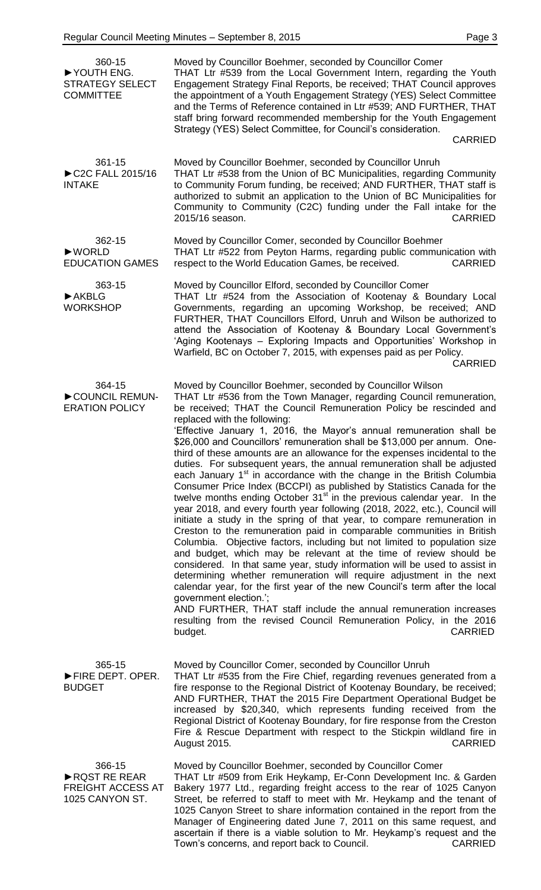| 360-15<br>YOUTH ENG.<br><b>STRATEGY SELECT</b><br><b>COMMITTEE</b>    | Moved by Councillor Boehmer, seconded by Councillor Comer<br>THAT Ltr #539 from the Local Government Intern, regarding the Youth<br>Engagement Strategy Final Reports, be received; THAT Council approves<br>the appointment of a Youth Engagement Strategy (YES) Select Committee<br>and the Terms of Reference contained in Ltr #539; AND FURTHER, THAT<br>staff bring forward recommended membership for the Youth Engagement<br>Strategy (YES) Select Committee, for Council's consideration.<br><b>CARRIED</b>                                                                                                                                                                                                                                                                                                                                                                                                                                                                                                                                                                                                                                                                                                                                                                                                                                                                                                                                                                                                                                                                                                                       |
|-----------------------------------------------------------------------|-------------------------------------------------------------------------------------------------------------------------------------------------------------------------------------------------------------------------------------------------------------------------------------------------------------------------------------------------------------------------------------------------------------------------------------------------------------------------------------------------------------------------------------------------------------------------------------------------------------------------------------------------------------------------------------------------------------------------------------------------------------------------------------------------------------------------------------------------------------------------------------------------------------------------------------------------------------------------------------------------------------------------------------------------------------------------------------------------------------------------------------------------------------------------------------------------------------------------------------------------------------------------------------------------------------------------------------------------------------------------------------------------------------------------------------------------------------------------------------------------------------------------------------------------------------------------------------------------------------------------------------------|
| 361-15<br>C2C FALL 2015/16<br><b>INTAKE</b>                           | Moved by Councillor Boehmer, seconded by Councillor Unruh<br>THAT Ltr #538 from the Union of BC Municipalities, regarding Community<br>to Community Forum funding, be received; AND FURTHER, THAT staff is<br>authorized to submit an application to the Union of BC Municipalities for<br>Community to Community (C2C) funding under the Fall intake for the<br>2015/16 season.<br><b>CARRIED</b>                                                                                                                                                                                                                                                                                                                                                                                                                                                                                                                                                                                                                                                                                                                                                                                                                                                                                                                                                                                                                                                                                                                                                                                                                                        |
| 362-15<br>$\blacktriangleright$ WORLD<br><b>EDUCATION GAMES</b>       | Moved by Councillor Comer, seconded by Councillor Boehmer<br>THAT Ltr #522 from Peyton Harms, regarding public communication with<br>respect to the World Education Games, be received.<br><b>CARRIED</b>                                                                                                                                                                                                                                                                                                                                                                                                                                                                                                                                                                                                                                                                                                                                                                                                                                                                                                                                                                                                                                                                                                                                                                                                                                                                                                                                                                                                                                 |
| 363-15<br>$\blacktriangleright$ AKBLG<br><b>WORKSHOP</b>              | Moved by Councillor Elford, seconded by Councillor Comer<br>THAT Ltr #524 from the Association of Kootenay & Boundary Local<br>Governments, regarding an upcoming Workshop, be received; AND<br>FURTHER, THAT Councillors Elford, Unruh and Wilson be authorized to<br>attend the Association of Kootenay & Boundary Local Government's<br>'Aging Kootenays - Exploring Impacts and Opportunities' Workshop in<br>Warfield, BC on October 7, 2015, with expenses paid as per Policy.<br><b>CARRIED</b>                                                                                                                                                                                                                                                                                                                                                                                                                                                                                                                                                                                                                                                                                                                                                                                                                                                                                                                                                                                                                                                                                                                                    |
| 364-15<br>COUNCIL REMUN-<br><b>ERATION POLICY</b>                     | Moved by Councillor Boehmer, seconded by Councillor Wilson<br>THAT Ltr #536 from the Town Manager, regarding Council remuneration,<br>be received; THAT the Council Remuneration Policy be rescinded and<br>replaced with the following:<br>'Effective January 1, 2016, the Mayor's annual remuneration shall be<br>\$26,000 and Councillors' remuneration shall be \$13,000 per annum. One-<br>third of these amounts are an allowance for the expenses incidental to the<br>duties. For subsequent years, the annual remuneration shall be adjusted<br>each January 1 <sup>st</sup> in accordance with the change in the British Columbia<br>Consumer Price Index (BCCPI) as published by Statistics Canada for the<br>twelve months ending October 31 <sup>st</sup> in the previous calendar year. In the<br>year 2018, and every fourth year following (2018, 2022, etc.), Council will<br>initiate a study in the spring of that year, to compare remuneration in<br>Creston to the remuneration paid in comparable communities in British<br>Columbia. Objective factors, including but not limited to population size<br>and budget, which may be relevant at the time of review should be<br>considered. In that same year, study information will be used to assist in<br>determining whether remuneration will require adjustment in the next<br>calendar year, for the first year of the new Council's term after the local<br>government election.';<br>AND FURTHER, THAT staff include the annual remuneration increases<br>resulting from the revised Council Remuneration Policy, in the 2016<br><b>CARRIED</b><br>budget. |
| 365-15<br>FIRE DEPT. OPER.<br><b>BUDGET</b>                           | Moved by Councillor Comer, seconded by Councillor Unruh<br>THAT Ltr #535 from the Fire Chief, regarding revenues generated from a<br>fire response to the Regional District of Kootenay Boundary, be received;<br>AND FURTHER, THAT the 2015 Fire Department Operational Budget be<br>increased by \$20,340, which represents funding received from the<br>Regional District of Kootenay Boundary, for fire response from the Creston<br>Fire & Rescue Department with respect to the Stickpin wildland fire in<br><b>CARRIED</b><br>August 2015.                                                                                                                                                                                                                                                                                                                                                                                                                                                                                                                                                                                                                                                                                                                                                                                                                                                                                                                                                                                                                                                                                         |
| 366-15<br>RQST RE REAR<br><b>FREIGHT ACCESS AT</b><br>1025 CANYON ST. | Moved by Councillor Boehmer, seconded by Councillor Comer<br>THAT Ltr #509 from Erik Heykamp, Er-Conn Development Inc. & Garden<br>Bakery 1977 Ltd., regarding freight access to the rear of 1025 Canyon<br>Street, be referred to staff to meet with Mr. Heykamp and the tenant of<br>1025 Canyon Street to share information contained in the report from the<br>Manager of Engineering dated June 7, 2011 on this same request, and<br>ascertain if there is a viable solution to Mr. Heykamp's request and the<br>Town's concerns, and report back to Council. CARRIED                                                                                                                                                                                                                                                                                                                                                                                                                                                                                                                                                                                                                                                                                                                                                                                                                                                                                                                                                                                                                                                                |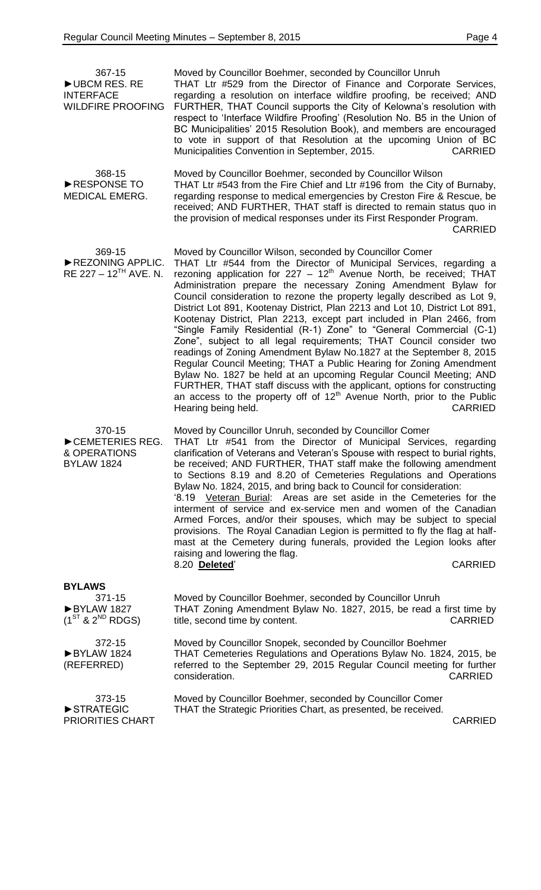| 367-15<br>UBCM RES. RE<br><b>INTERFACE</b><br><b>WILDFIRE PROOFING</b> | Moved by Councillor Boehmer, seconded by Councillor Unruh<br>THAT Ltr #529 from the Director of Finance and Corporate Services,<br>regarding a resolution on interface wildfire proofing, be received; AND<br>FURTHER, THAT Council supports the City of Kelowna's resolution with<br>respect to 'Interface Wildfire Proofing' (Resolution No. B5 in the Union of<br>BC Municipalities' 2015 Resolution Book), and members are encouraged<br>to vote in support of that Resolution at the upcoming Union of BC<br>Municipalities Convention in September, 2015.<br><b>CARRIED</b>                                                                                                                                                                                                                                                                                                                                                                                                                                                                                                             |
|------------------------------------------------------------------------|-----------------------------------------------------------------------------------------------------------------------------------------------------------------------------------------------------------------------------------------------------------------------------------------------------------------------------------------------------------------------------------------------------------------------------------------------------------------------------------------------------------------------------------------------------------------------------------------------------------------------------------------------------------------------------------------------------------------------------------------------------------------------------------------------------------------------------------------------------------------------------------------------------------------------------------------------------------------------------------------------------------------------------------------------------------------------------------------------|
| 368-15<br>RESPONSE TO<br><b>MEDICAL EMERG.</b>                         | Moved by Councillor Boehmer, seconded by Councillor Wilson<br>THAT Ltr #543 from the Fire Chief and Ltr #196 from the City of Burnaby,<br>regarding response to medical emergencies by Creston Fire & Rescue, be<br>received; AND FURTHER, THAT staff is directed to remain status quo in<br>the provision of medical responses under its First Responder Program.<br><b>CARRIED</b>                                                                                                                                                                                                                                                                                                                                                                                                                                                                                                                                                                                                                                                                                                          |
| 369-15<br>REZONING APPLIC.<br>RE 227 – $12^{TH}$ AVE. N.               | Moved by Councillor Wilson, seconded by Councillor Comer<br>THAT Ltr #544 from the Director of Municipal Services, regarding a<br>rezoning application for $227 - 12th$ Avenue North, be received; THAT<br>Administration prepare the necessary Zoning Amendment Bylaw for<br>Council consideration to rezone the property legally described as Lot 9,<br>District Lot 891, Kootenay District, Plan 2213 and Lot 10, District Lot 891,<br>Kootenay District, Plan 2213, except part included in Plan 2466, from<br>"Single Family Residential (R-1) Zone" to "General Commercial (C-1)<br>Zone", subject to all legal requirements; THAT Council consider two<br>readings of Zoning Amendment Bylaw No.1827 at the September 8, 2015<br>Regular Council Meeting; THAT a Public Hearing for Zoning Amendment<br>Bylaw No. 1827 be held at an upcoming Regular Council Meeting; AND<br>FURTHER, THAT staff discuss with the applicant, options for constructing<br>an access to the property off of 12 <sup>th</sup> Avenue North, prior to the Public<br>Hearing being held.<br><b>CARRIED</b> |
| 370-15<br>CEMETERIES REG.<br>& OPERATIONS<br><b>BYLAW 1824</b>         | Moved by Councillor Unruh, seconded by Councillor Comer<br>THAT Ltr #541 from the Director of Municipal Services, regarding<br>clarification of Veterans and Veteran's Spouse with respect to burial rights,<br>be received; AND FURTHER, THAT staff make the following amendment<br>to Sections 8.19 and 8.20 of Cemeteries Regulations and Operations<br>Bylaw No. 1824, 2015, and bring back to Council for consideration:<br>'8.19 Veteran Burial: Areas are set aside in the Cemeteries for the<br>interment of service and ex-service men and women of the Canadian<br>Armed Forces, and/or their spouses, which may be subject to special<br>provisions. The Royal Canadian Legion is permitted to fly the flag at half-<br>mast at the Cemetery during funerals, provided the Legion looks after<br>raising and lowering the flag.<br><b>CARRIED</b><br>8.20 Deleted'                                                                                                                                                                                                                 |
| <b>BYLAWS</b><br>371-15<br>BYLAW 1827<br>$(1^{ST}$ & $2^{ND}$ RDGS)    | Moved by Councillor Boehmer, seconded by Councillor Unruh<br>THAT Zoning Amendment Bylaw No. 1827, 2015, be read a first time by<br>title, second time by content.<br><b>CARRIED</b>                                                                                                                                                                                                                                                                                                                                                                                                                                                                                                                                                                                                                                                                                                                                                                                                                                                                                                          |
| 372-15<br>BYLAW 1824<br>(REFERRED)                                     | Moved by Councillor Snopek, seconded by Councillor Boehmer<br>THAT Cemeteries Regulations and Operations Bylaw No. 1824, 2015, be<br>referred to the September 29, 2015 Regular Council meeting for further<br><b>CARRIED</b><br>consideration.                                                                                                                                                                                                                                                                                                                                                                                                                                                                                                                                                                                                                                                                                                                                                                                                                                               |
| 373-15<br>STRATEGIC<br>PRIORITIES CHART                                | Moved by Councillor Boehmer, seconded by Councillor Comer<br>THAT the Strategic Priorities Chart, as presented, be received.<br><b>CARRIED</b>                                                                                                                                                                                                                                                                                                                                                                                                                                                                                                                                                                                                                                                                                                                                                                                                                                                                                                                                                |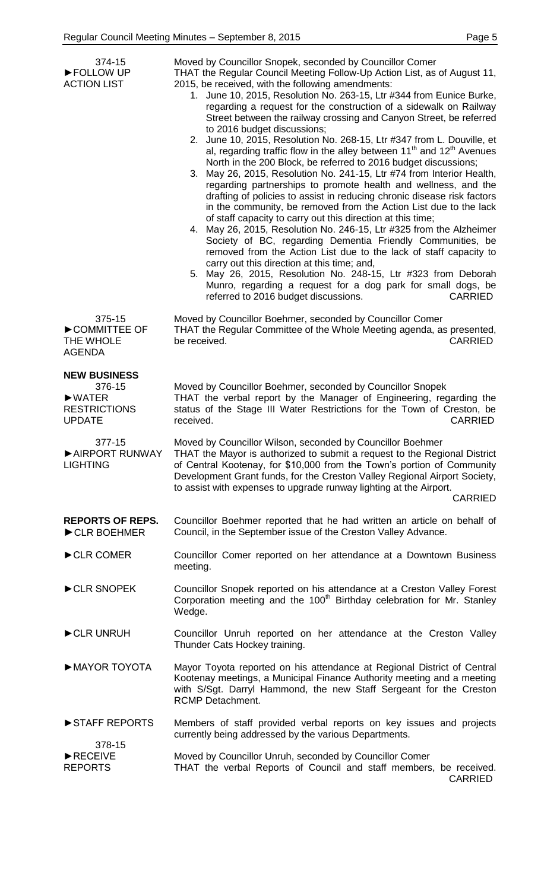| 374-15<br>FOLLOW UP<br><b>ACTION LIST</b>                                                            | Moved by Councillor Snopek, seconded by Councillor Comer<br>THAT the Regular Council Meeting Follow-Up Action List, as of August 11,<br>2015, be received, with the following amendments:<br>1. June 10, 2015, Resolution No. 263-15, Ltr #344 from Eunice Burke,<br>regarding a request for the construction of a sidewalk on Railway<br>Street between the railway crossing and Canyon Street, be referred<br>to 2016 budget discussions;<br>2. June 10, 2015, Resolution No. 268-15, Ltr #347 from L. Douville, et<br>al, regarding traffic flow in the alley between $11th$ and $12th$ Avenues<br>North in the 200 Block, be referred to 2016 budget discussions;<br>3. May 26, 2015, Resolution No. 241-15, Ltr #74 from Interior Health,<br>regarding partnerships to promote health and wellness, and the<br>drafting of policies to assist in reducing chronic disease risk factors<br>in the community, be removed from the Action List due to the lack<br>of staff capacity to carry out this direction at this time;<br>4. May 26, 2015, Resolution No. 246-15, Ltr #325 from the Alzheimer<br>Society of BC, regarding Dementia Friendly Communities, be<br>removed from the Action List due to the lack of staff capacity to<br>carry out this direction at this time; and,<br>5. May 26, 2015, Resolution No. 248-15, Ltr #323 from Deborah<br>Munro, regarding a request for a dog park for small dogs, be<br>referred to 2016 budget discussions.<br><b>CARRIED</b> |
|------------------------------------------------------------------------------------------------------|-------------------------------------------------------------------------------------------------------------------------------------------------------------------------------------------------------------------------------------------------------------------------------------------------------------------------------------------------------------------------------------------------------------------------------------------------------------------------------------------------------------------------------------------------------------------------------------------------------------------------------------------------------------------------------------------------------------------------------------------------------------------------------------------------------------------------------------------------------------------------------------------------------------------------------------------------------------------------------------------------------------------------------------------------------------------------------------------------------------------------------------------------------------------------------------------------------------------------------------------------------------------------------------------------------------------------------------------------------------------------------------------------------------------------------------------------------------------------------------|
| 375-15<br>COMMITTEE OF<br>THE WHOLE<br><b>AGENDA</b>                                                 | Moved by Councillor Boehmer, seconded by Councillor Comer<br>THAT the Regular Committee of the Whole Meeting agenda, as presented,<br>be received.<br><b>CARRIED</b>                                                                                                                                                                                                                                                                                                                                                                                                                                                                                                                                                                                                                                                                                                                                                                                                                                                                                                                                                                                                                                                                                                                                                                                                                                                                                                                |
| <b>NEW BUSINESS</b><br>376-15<br>$\blacktriangleright$ WATER<br><b>RESTRICTIONS</b><br><b>UPDATE</b> | Moved by Councillor Boehmer, seconded by Councillor Snopek<br>THAT the verbal report by the Manager of Engineering, regarding the<br>status of the Stage III Water Restrictions for the Town of Creston, be<br>received.<br><b>CARRIED</b>                                                                                                                                                                                                                                                                                                                                                                                                                                                                                                                                                                                                                                                                                                                                                                                                                                                                                                                                                                                                                                                                                                                                                                                                                                          |
| 377-15<br><b>LIGHTING</b>                                                                            | Moved by Councillor Wilson, seconded by Councillor Boehmer<br>AIRPORT RUNWAY THAT the Mayor is authorized to submit a request to the Regional District<br>of Central Kootenay, for \$10,000 from the Town's portion of Community<br>Development Grant funds, for the Creston Valley Regional Airport Society,<br>to assist with expenses to upgrade runway lighting at the Airport.<br><b>CARRIED</b>                                                                                                                                                                                                                                                                                                                                                                                                                                                                                                                                                                                                                                                                                                                                                                                                                                                                                                                                                                                                                                                                               |
| <b>REPORTS OF REPS.</b><br>CLR BOEHMER                                                               | Councillor Boehmer reported that he had written an article on behalf of<br>Council, in the September issue of the Creston Valley Advance.                                                                                                                                                                                                                                                                                                                                                                                                                                                                                                                                                                                                                                                                                                                                                                                                                                                                                                                                                                                                                                                                                                                                                                                                                                                                                                                                           |
| CLR COMER                                                                                            | Councillor Comer reported on her attendance at a Downtown Business<br>meeting.                                                                                                                                                                                                                                                                                                                                                                                                                                                                                                                                                                                                                                                                                                                                                                                                                                                                                                                                                                                                                                                                                                                                                                                                                                                                                                                                                                                                      |
| CLR SNOPEK                                                                                           | Councillor Snopek reported on his attendance at a Creston Valley Forest<br>Corporation meeting and the 100 <sup>th</sup> Birthday celebration for Mr. Stanley<br>Wedge.                                                                                                                                                                                                                                                                                                                                                                                                                                                                                                                                                                                                                                                                                                                                                                                                                                                                                                                                                                                                                                                                                                                                                                                                                                                                                                             |
| CLR UNRUH                                                                                            | Councillor Unruh reported on her attendance at the Creston Valley<br>Thunder Cats Hockey training.                                                                                                                                                                                                                                                                                                                                                                                                                                                                                                                                                                                                                                                                                                                                                                                                                                                                                                                                                                                                                                                                                                                                                                                                                                                                                                                                                                                  |
| MAYOR TOYOTA                                                                                         | Mayor Toyota reported on his attendance at Regional District of Central<br>Kootenay meetings, a Municipal Finance Authority meeting and a meeting<br>with S/Sgt. Darryl Hammond, the new Staff Sergeant for the Creston<br><b>RCMP Detachment.</b>                                                                                                                                                                                                                                                                                                                                                                                                                                                                                                                                                                                                                                                                                                                                                                                                                                                                                                                                                                                                                                                                                                                                                                                                                                  |
| STAFF REPORTS                                                                                        | Members of staff provided verbal reports on key issues and projects<br>currently being addressed by the various Departments.                                                                                                                                                                                                                                                                                                                                                                                                                                                                                                                                                                                                                                                                                                                                                                                                                                                                                                                                                                                                                                                                                                                                                                                                                                                                                                                                                        |
| 378-15<br>$\blacktriangleright$ RECEIVE<br><b>REPORTS</b>                                            | Moved by Councillor Unruh, seconded by Councillor Comer<br>THAT the verbal Reports of Council and staff members, be received.<br><b>CARRIED</b>                                                                                                                                                                                                                                                                                                                                                                                                                                                                                                                                                                                                                                                                                                                                                                                                                                                                                                                                                                                                                                                                                                                                                                                                                                                                                                                                     |